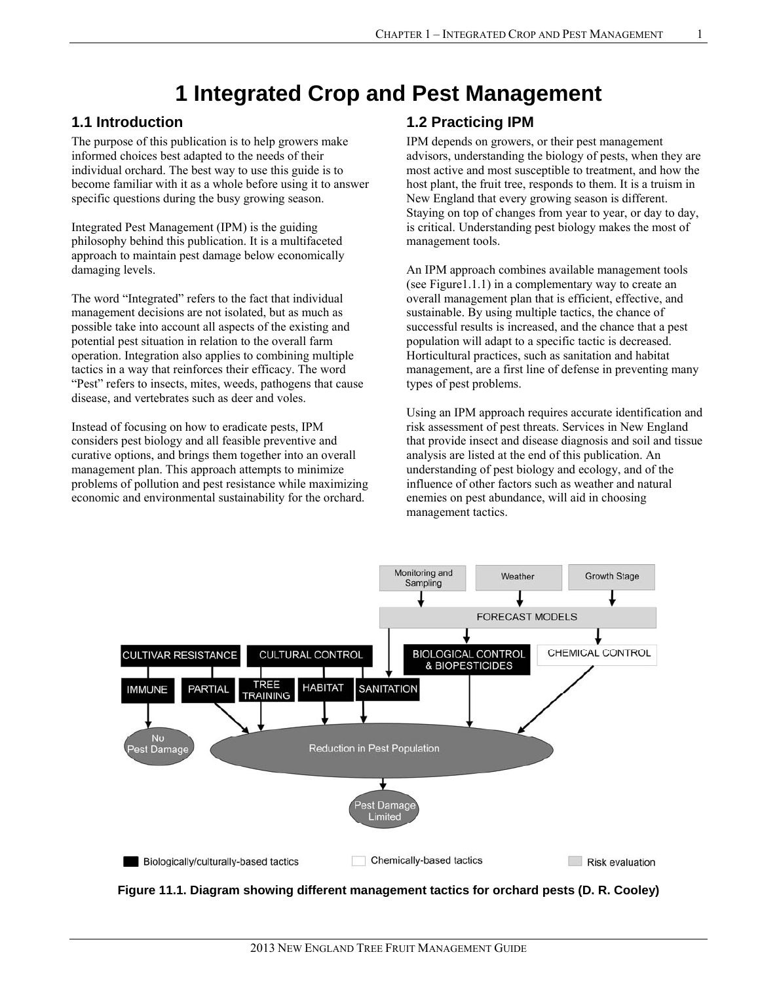# **1 Integrated Crop and Pest Management**

#### **1.1 Introduction**

The purpose of this publication is to help growers make informed choices best adapted to the needs of their individual orchard. The best way to use this guide is to become familiar with it as a whole before using it to answer specific questions during the busy growing season.

Integrated Pest Management (IPM) is the guiding philosophy behind this publication. It is a multifaceted approach to maintain pest damage below economically damaging levels.

The word "Integrated" refers to the fact that individual management decisions are not isolated, but as much as possible take into account all aspects of the existing and potential pest situation in relation to the overall farm operation. Integration also applies to combining multiple tactics in a way that reinforces their efficacy. The word "Pest" refers to insects, mites, weeds, pathogens that cause disease, and vertebrates such as deer and voles.

Instead of focusing on how to eradicate pests, IPM considers pest biology and all feasible preventive and curative options, and brings them together into an overall management plan. This approach attempts to minimize problems of pollution and pest resistance while maximizing economic and environmental sustainability for the orchard.

#### **1.2 Practicing IPM**

IPM depends on growers, or their pest management advisors, understanding the biology of pests, when they are most active and most susceptible to treatment, and how the host plant, the fruit tree, responds to them. It is a truism in New England that every growing season is different. Staying on top of changes from year to year, or day to day, is critical. Understanding pest biology makes the most of management tools.

An IPM approach combines available management tools (see Figure1.1.1) in a complementary way to create an overall management plan that is efficient, effective, and sustainable. By using multiple tactics, the chance of successful results is increased, and the chance that a pest population will adapt to a specific tactic is decreased. Horticultural practices, such as sanitation and habitat management, are a first line of defense in preventing many types of pest problems.

Using an IPM approach requires accurate identification and risk assessment of pest threats. Services in New England that provide insect and disease diagnosis and soil and tissue analysis are listed at the end of this publication. An understanding of pest biology and ecology, and of the influence of other factors such as weather and natural enemies on pest abundance, will aid in choosing management tactics.



**Figure 11.1. Diagram showing different management tactics for orchard pests (D. R. Cooley)**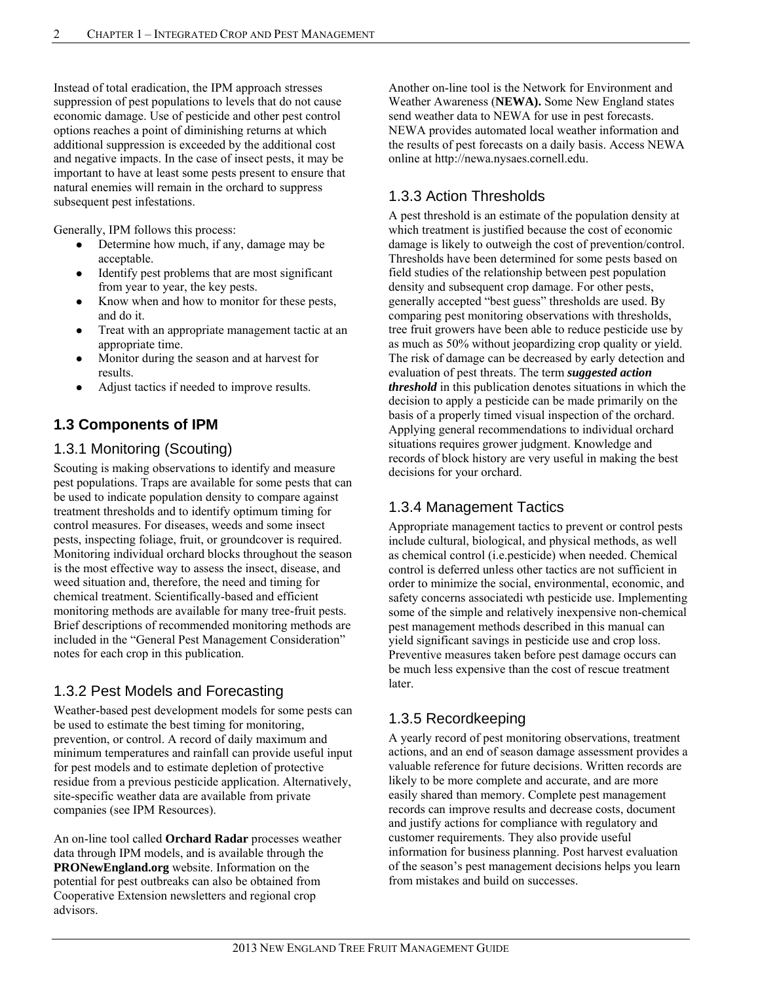Instead of total eradication, the IPM approach stresses suppression of pest populations to levels that do not cause economic damage. Use of pesticide and other pest control options reaches a point of diminishing returns at which additional suppression is exceeded by the additional cost and negative impacts. In the case of insect pests, it may be important to have at least some pests present to ensure that natural enemies will remain in the orchard to suppress subsequent pest infestations.

Generally, IPM follows this process:

- Determine how much, if any, damage may be acceptable.
- Identify pest problems that are most significant from year to year, the key pests.
- Know when and how to monitor for these pests, and do it.
- Treat with an appropriate management tactic at an appropriate time.
- Monitor during the season and at harvest for results.
- Adjust tactics if needed to improve results.

## **1.3 Components of IPM**

## 1.3.1 Monitoring (Scouting)

Scouting is making observations to identify and measure pest populations. Traps are available for some pests that can be used to indicate population density to compare against treatment thresholds and to identify optimum timing for control measures. For diseases, weeds and some insect pests, inspecting foliage, fruit, or groundcover is required. Monitoring individual orchard blocks throughout the season is the most effective way to assess the insect, disease, and weed situation and, therefore, the need and timing for chemical treatment. Scientifically-based and efficient monitoring methods are available for many tree-fruit pests. Brief descriptions of recommended monitoring methods are included in the "General Pest Management Consideration" notes for each crop in this publication.

## 1.3.2 Pest Models and Forecasting

Weather-based pest development models for some pests can be used to estimate the best timing for monitoring, prevention, or control. A record of daily maximum and minimum temperatures and rainfall can provide useful input for pest models and to estimate depletion of protective residue from a previous pesticide application. Alternatively, site-specific weather data are available from private companies (see IPM Resources).

An on-line tool called **Orchard Radar** processes weather data through IPM models, and is available through the **PRONewEngland.org** website. Information on the potential for pest outbreaks can also be obtained from Cooperative Extension newsletters and regional crop advisors.

Another on-line tool is the Network for Environment and Weather Awareness (**NEWA).** Some New England states send weather data to NEWA for use in pest forecasts. NEWA provides automated local weather information and the results of pest forecasts on a daily basis. Access NEWA online at http://newa.nysaes.cornell.edu.

## 1.3.3 Action Thresholds

A pest threshold is an estimate of the population density at which treatment is justified because the cost of economic damage is likely to outweigh the cost of prevention/control. Thresholds have been determined for some pests based on field studies of the relationship between pest population density and subsequent crop damage. For other pests, generally accepted "best guess" thresholds are used. By comparing pest monitoring observations with thresholds, tree fruit growers have been able to reduce pesticide use by as much as 50% without jeopardizing crop quality or yield. The risk of damage can be decreased by early detection and evaluation of pest threats. The term *suggested action threshold* in this publication denotes situations in which the decision to apply a pesticide can be made primarily on the basis of a properly timed visual inspection of the orchard. Applying general recommendations to individual orchard situations requires grower judgment. Knowledge and records of block history are very useful in making the best decisions for your orchard.

## 1.3.4 Management Tactics

Appropriate management tactics to prevent or control pests include cultural, biological, and physical methods, as well as chemical control (i.e.pesticide) when needed. Chemical control is deferred unless other tactics are not sufficient in order to minimize the social, environmental, economic, and safety concerns associatedi wth pesticide use. Implementing some of the simple and relatively inexpensive non-chemical pest management methods described in this manual can yield significant savings in pesticide use and crop loss. Preventive measures taken before pest damage occurs can be much less expensive than the cost of rescue treatment later.

## 1.3.5 Recordkeeping

A yearly record of pest monitoring observations, treatment actions, and an end of season damage assessment provides a valuable reference for future decisions. Written records are likely to be more complete and accurate, and are more easily shared than memory. Complete pest management records can improve results and decrease costs, document and justify actions for compliance with regulatory and customer requirements. They also provide useful information for business planning. Post harvest evaluation of the season's pest management decisions helps you learn from mistakes and build on successes.